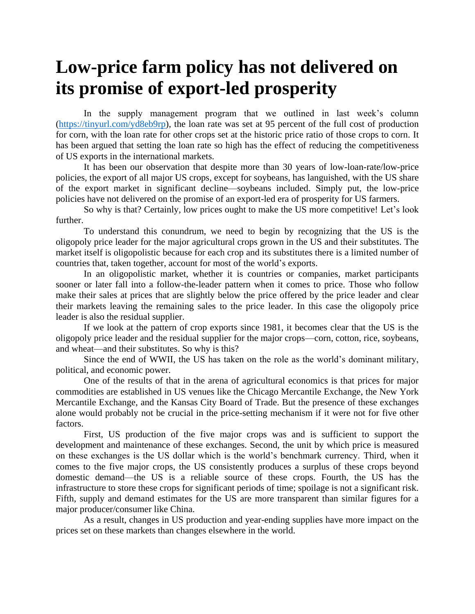## **Low-price farm policy has not delivered on its promise of export-led prosperity**

In the supply management program that we outlined in last week's column [\(https://tinyurl.com/yd8eb9rp\)](https://tinyurl.com/yd8eb9rp), the loan rate was set at 95 percent of the full cost of production for corn, with the loan rate for other crops set at the historic price ratio of those crops to corn. It has been argued that setting the loan rate so high has the effect of reducing the competitiveness of US exports in the international markets.

It has been our observation that despite more than 30 years of low-loan-rate/low-price policies, the export of all major US crops, except for soybeans, has languished, with the US share of the export market in significant decline—soybeans included. Simply put, the low-price policies have not delivered on the promise of an export-led era of prosperity for US farmers.

So why is that? Certainly, low prices ought to make the US more competitive! Let's look further.

To understand this conundrum, we need to begin by recognizing that the US is the oligopoly price leader for the major agricultural crops grown in the US and their substitutes. The market itself is oligopolistic because for each crop and its substitutes there is a limited number of countries that, taken together, account for most of the world's exports.

In an oligopolistic market, whether it is countries or companies, market participants sooner or later fall into a follow-the-leader pattern when it comes to price. Those who follow make their sales at prices that are slightly below the price offered by the price leader and clear their markets leaving the remaining sales to the price leader. In this case the oligopoly price leader is also the residual supplier.

If we look at the pattern of crop exports since 1981, it becomes clear that the US is the oligopoly price leader and the residual supplier for the major crops—corn, cotton, rice, soybeans, and wheat—and their substitutes. So why is this?

Since the end of WWII, the US has taken on the role as the world's dominant military, political, and economic power.

One of the results of that in the arena of agricultural economics is that prices for major commodities are established in US venues like the Chicago Mercantile Exchange, the New York Mercantile Exchange, and the Kansas City Board of Trade. But the presence of these exchanges alone would probably not be crucial in the price-setting mechanism if it were not for five other factors.

First, US production of the five major crops was and is sufficient to support the development and maintenance of these exchanges. Second, the unit by which price is measured on these exchanges is the US dollar which is the world's benchmark currency. Third, when it comes to the five major crops, the US consistently produces a surplus of these crops beyond domestic demand—the US is a reliable source of these crops. Fourth, the US has the infrastructure to store these crops for significant periods of time; spoilage is not a significant risk. Fifth, supply and demand estimates for the US are more transparent than similar figures for a major producer/consumer like China.

As a result, changes in US production and year-ending supplies have more impact on the prices set on these markets than changes elsewhere in the world.